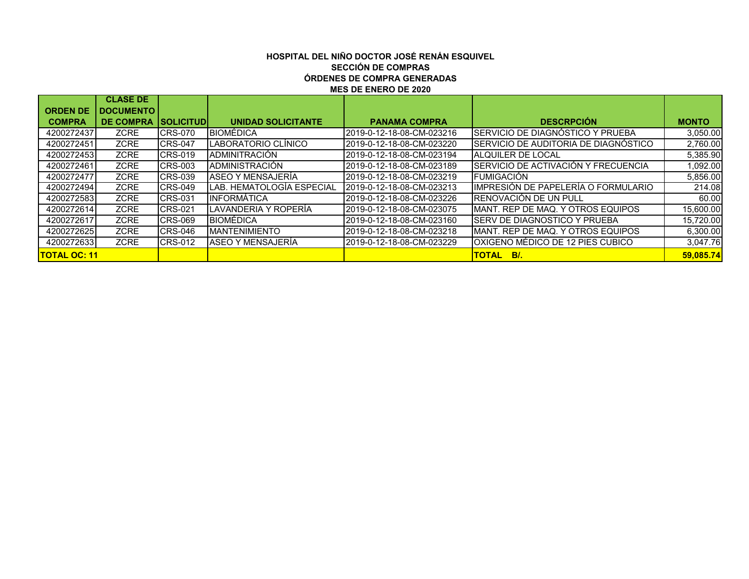## **HOSPITAL DEL NIÑO DOCTOR JOSÉ RENÁN ESQUIVEL SECCIÓN DE COMPRAS ÓRDENES DE COMPRA GENERADAS MES DE ENERO DE 2020**

|                       | <b>CLASE DE</b>  |                   |                           |                            |                                       |              |
|-----------------------|------------------|-------------------|---------------------------|----------------------------|---------------------------------------|--------------|
| <b>ORDEN DE</b>       | <b>DOCUMENTO</b> |                   |                           |                            |                                       |              |
| <b>COMPRA</b>         | <b>DE COMPRA</b> | <b>ISOLICITUD</b> | <b>UNIDAD SOLICITANTE</b> | <b>PANAMA COMPRA</b>       | <b>DESCRPCIÓN</b>                     | <b>MONTO</b> |
| 4200272437            | <b>ZCRE</b>      | <b>CRS-070</b>    | <b>BIOMÉDICA</b>          | 2019-0-12-18-08-CM-023216  | ISERVICIO DE DIAGNÓSTICO Y PRUEBA     | 3.050.00     |
| 4200272451            | <b>ZCRE</b>      | ICRS-047          | LABORATORIO CLÍNICO       | 2019-0-12-18-08-CM-023220  | ISERVICIO DE AUDITORIA DE DIAGNOSTICO | 2,760.00     |
| 4200272453            | ZCRE             | ICRS-019          | <b>ADMINITRACIÓN</b>      | 2019-0-12-18-08-CM-023194  | IALQUILER DE LOCAL                    | 5.385.90     |
| 4200272461            | <b>ZCRE</b>      | <b>ICRS-003</b>   | <b>ADMINISTRACIÓN</b>     | 2019-0-12-18-08-CM-023189  | SERVICIO DE ACTIVACIÓN Y FRECUENCIA   | 1,092.00     |
| 4200272477            | <b>ZCRE</b>      | $ICRS-039$        | ASEO Y MENSAJERÍA         | 2019-0-12-18-08-CM-023219  | <b>FUMIGACIÓN</b>                     | 5.856.00     |
| 4200272494            | <b>ZCRE</b>      | ICRS-049          | LAB. HEMATOLOGÍA ESPECIAL | 2019-0-12-18-08-CM-023213  | IMPRESIÓN DE PAPELERÍA O FORMULARIO   | 214.08       |
| 4200272583            | <b>ZCRE</b>      | <b>ICRS-031</b>   | <b>INFORMÁTICA</b>        | l2019-0-12-18-08-CM-023226 | IRENOVACIÓN DE UN PULL                | 60.00        |
| 4200272614            | <b>ZCRE</b>      | <b>ICRS-021</b>   | LAVANDERIA Y ROPERÍA      | 2019-0-12-18-08-CM-023075  | IMANT. REP DE MAQ. Y OTROS EQUIPOS    | 15,600.00    |
| 4200272617            | <b>ZCRE</b>      | <b>ICRS-069</b>   | <b>BIOMÉDICA</b>          | 2019-0-12-18-08-CM-023160  | ISERV DE DIAGNOSTICO Y PRUEBA         | 15.720.00    |
| 4200272625            | <b>ZCRE</b>      | ICRS-046          | <b>MANTENIMIENTO</b>      | 2019-0-12-18-08-CM-023218  | IMANT. REP DE MAQ. Y OTROS EQUIPOS    | 6,300.00     |
| 4200272633            | <b>ZCRE</b>      | <b>ICRS-012</b>   | ASEO Y MENSAJERÍA         | 2019-0-12-18-08-CM-023229  | OXIGENO MÉDICO DE 12 PIES CUBICO      | 3,047.76     |
| <u> ITOTAL OC: 11</u> |                  |                   |                           |                            | <b>TOTAL BI.</b>                      | 59.085.74    |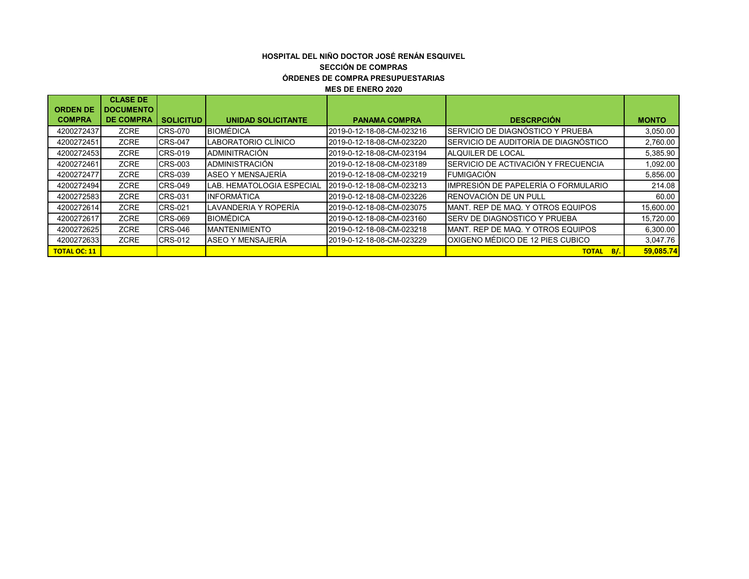## **HOSPITAL DEL NIÑO DOCTOR JOSÉ RENÁN ESQUIVEL SECCIÓN DE COMPRAS ÓRDENES DE COMPRA PRESUPUESTARIAS**

**MES DE ENERO 2020**

|                     | <b>CLASE DE</b>  |                  |                           |                           |                                       |              |
|---------------------|------------------|------------------|---------------------------|---------------------------|---------------------------------------|--------------|
| <b>ORDEN DE</b>     | <b>DOCUMENTO</b> |                  |                           |                           |                                       |              |
| <b>COMPRA</b>       | <b>DE COMPRA</b> | <b>SOLICITUD</b> | <b>UNIDAD SOLICITANTE</b> | <b>PANAMA COMPRA</b>      | <b>DESCRPCIÓN</b>                     | <b>MONTO</b> |
| 4200272437          | <b>ZCRE</b>      | <b>CRS-070</b>   | <b>BIOMÉDICA</b>          | 2019-0-12-18-08-CM-023216 | ISERVICIO DE DIAGNÓSTICO Y PRUEBA     | 3,050.00     |
| 4200272451          | <b>ZCRE</b>      | <b>CRS-047</b>   | LABORATORIO CLÍNICO       | 2019-0-12-18-08-CM-023220 | ISERVICIO DE AUDITORÍA DE DIAGNÓSTICO | 2,760.00     |
| 4200272453          | <b>ZCRE</b>      | <b>CRS-019</b>   | <b>ADMINITRACIÓN</b>      | 2019-0-12-18-08-CM-023194 | <b>ALQUILER DE LOCAL</b>              | 5,385.90     |
| 4200272461          | <b>ZCRE</b>      | <b>CRS-003</b>   | <b>ADMINISTRACIÓN</b>     | 2019-0-12-18-08-CM-023189 | ISERVICIO DE ACTIVACIÓN Y FRECUENCIA. | 1,092.00     |
| 4200272477          | <b>ZCRE</b>      | <b>CRS-039</b>   | ASEO Y MENSAJERÍA         | 2019-0-12-18-08-CM-023219 | <b>FUMIGACIÓN</b>                     | 5,856.00     |
| 4200272494          | <b>ZCRE</b>      | <b>CRS-049</b>   | LAB. HEMATOLOGIA ESPECIAL | 2019-0-12-18-08-CM-023213 | IIMPRESIÓN DE PAPELERÍA O FORMULARIO  | 214.08       |
| 4200272583          | <b>ZCRE</b>      | <b>CRS-031</b>   | <b>INFORMÁTICA</b>        | 2019-0-12-18-08-CM-023226 | <b>IRENOVACIÓN DE UN PULL</b>         | 60.00        |
| 4200272614          | <b>ZCRE</b>      | <b>CRS-021</b>   | LAVANDERIA Y ROPERÍA      | 2019-0-12-18-08-CM-023075 | IMANT. REP DE MAQ. Y OTROS EQUIPOS    | 15,600.00    |
| 4200272617          | <b>ZCRE</b>      | <b>CRS-069</b>   | <b>BIOMÉDICA</b>          | 2019-0-12-18-08-CM-023160 | <b>I</b> SERV DE DIAGNOSTICO Y PRUEBA | 15,720.00    |
| 4200272625          | <b>ZCRE</b>      | <b>CRS-046</b>   | <b>MANTENIMIENTO</b>      | 2019-0-12-18-08-CM-023218 | IMANT, REP DE MAQ, Y OTROS EQUIPOS    | 6,300.00     |
| 4200272633          | <b>ZCRE</b>      | <b>CRS-012</b>   | IASEO Y MENSAJERÍA        | 2019-0-12-18-08-CM-023229 | IOXIGENO MÉDICO DE 12 PIES CUBICO     | 3,047.76     |
| <b>TOTAL OC: 11</b> |                  |                  |                           |                           | <b>TOTAL</b><br>$B/\sqrt{2}$          | 59,085.74    |